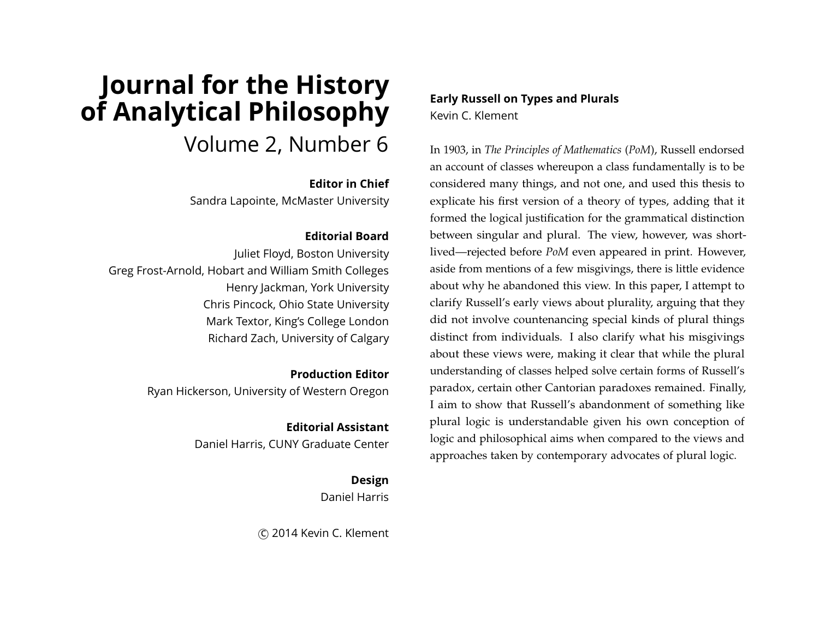# **Journal for the History of Analytical Philosophy** Volume 2, Number 6

#### **Editor in Chief**

Sandra Lapointe, McMaster University

#### **Editorial Board**

Juliet Floyd, Boston University Greg Frost-Arnold, Hobart and William Smith Colleges Henry Jackman, York University Chris Pincock, Ohio State University Mark Textor, King's College London Richard Zach, University of Calgary

> **Production Editor** Ryan Hickerson, University of Western Oregon

> > **Editorial Assistant** Daniel Harris, CUNY Graduate Center

> > > **Design**

Daniel Harris

c 2014 Kevin C. Klement

**Early Russell on Types and Plurals** Kevin C. Klement

In 1903, in *The Principles of Mathematics* (*PoM*), Russell endorsed an account of classes whereupon a class fundamentally is to be considered many things, and not one, and used this thesis to explicate his first version of a theory of types, adding that it formed the logical justification for the grammatical distinction between singular and plural. The view, however, was shortlived—rejected before *PoM* even appeared in print. However, aside from mentions of a few misgivings, there is little evidence about why he abandoned this view. In this paper, I attempt to clarify Russell's early views about plurality, arguing that they did not involve countenancing special kinds of plural things distinct from individuals. I also clarify what his misgivings about these views were, making it clear that while the plural understanding of classes helped solve certain forms of Russell's paradox, certain other Cantorian paradoxes remained. Finally, I aim to show that Russell's abandonment of something like plural logic is understandable given his own conception of logic and philosophical aims when compared to the views and approaches taken by contemporary advocates of plural logic.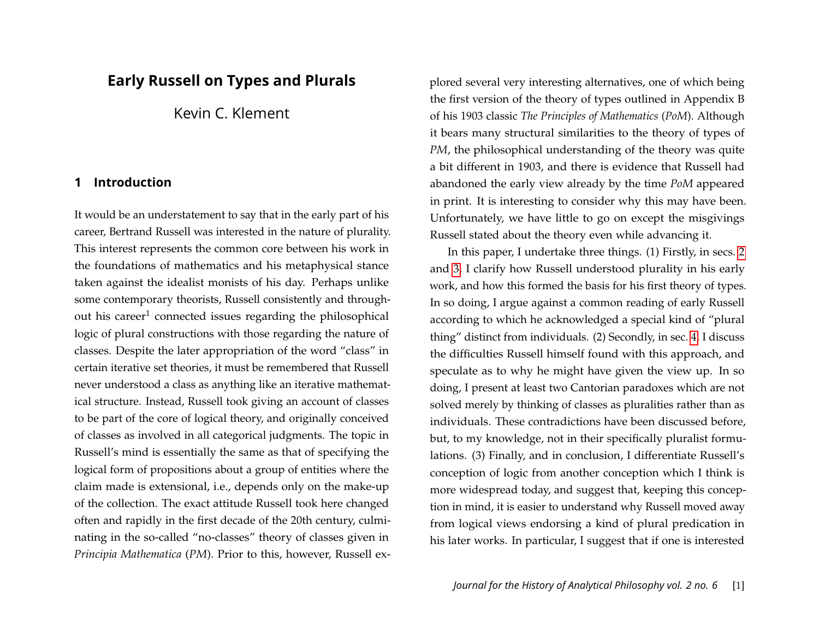# **Early Russell on Types and Plurals**

Kevin C. Klement

# **1 Introduction**

It would be an understatement to say that in the early part of his career, Bertrand Russell was interested in the nature of plurality. This interest represents the common core between his work in the foundations of mathematics and his metaphysical stance taken against the idealist monists of his day. Perhaps unlike some contemporary theorists, Russell consistently and throughout his career<sup>1</sup> connected issues regarding the philosophical logic of plural constructions with those regarding the nature of classes. Despite the later appropriation of the word "class" in certain iterative set theories, it must be remembered that Russell never understood a class as anything like an iterative mathematical structure. Instead, Russell took giving an account of classes to be part of the core of logical theory, and originally conceived of classes as involved in all categorical judgments. The topic in Russell's mind is essentially the same as that of specifying the logical form of propositions about a group of entities where the claim made is extensional, i.e., depends only on the make-up of the collection. The exact attitude Russell took here changed often and rapidly in the first decade of the 20th century, culminating in the so-called "no-classes" theory of classes given in *Principia Mathematica* (*PM*). Prior to this, however, Russell explored several very interesting alternatives, one of which being the first version of the theory of types outlined in Appendix B of his 1903 classic *The Principles of Mathematics* (*PoM*). Although it bears many structural similarities to the theory of types of *PM*, the philosophical understanding of the theory was quite a bit different in 1903, and there is evidence that Russell had abandoned the early view already by the time *PoM* appeared in print. It is interesting to consider why this may have been. Unfortunately, we have little to go on except the misgivings Russell stated about the theory even while advancing it.

In this paper, I undertake three things. (1) Firstly, in secs. [2](#page-2-0) and [3,](#page-4-0) I clarify how Russell understood plurality in his early work, and how this formed the basis for his first theory of types. In so doing, I argue against a common reading of early Russell according to which he acknowledged a special kind of "plural thing" distinct from individuals. (2) Secondly, in sec. [4,](#page-7-0) I discuss the difficulties Russell himself found with this approach, and speculate as to why he might have given the view up. In so doing, I present at least two Cantorian paradoxes which are not solved merely by thinking of classes as pluralities rather than as individuals. These contradictions have been discussed before, but, to my knowledge, not in their specifically pluralist formulations. (3) Finally, and in conclusion, I differentiate Russell's conception of logic from another conception which I think is more widespread today, and suggest that, keeping this conception in mind, it is easier to understand why Russell moved away from logical views endorsing a kind of plural predication in his later works. In particular, I suggest that if one is interested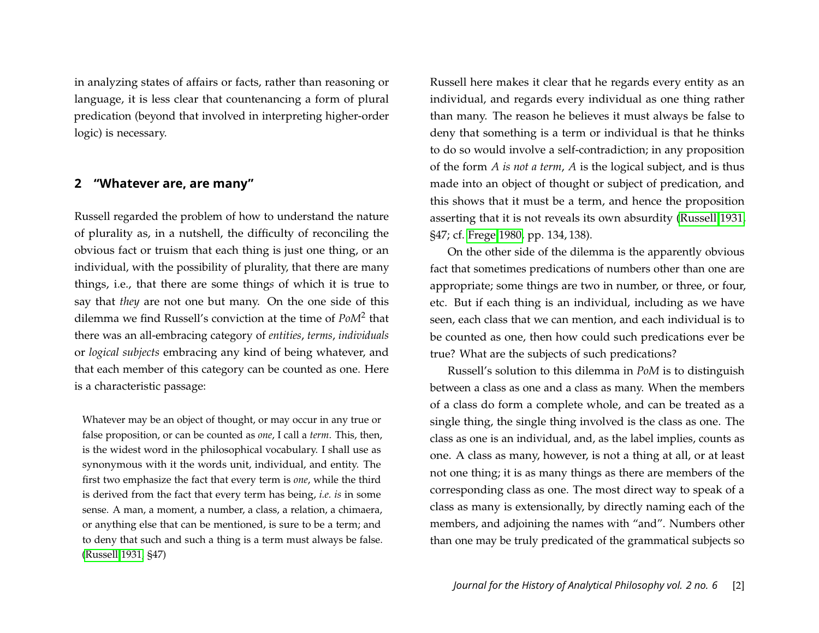in analyzing states of affairs or facts, rather than reasoning or language, it is less clear that countenancing a form of plural predication (beyond that involved in interpreting higher-order logic) is necessary.

## <span id="page-2-0"></span>**2 "Whatever are, are many"**

Russell regarded the problem of how to understand the nature of plurality as, in a nutshell, the difficulty of reconciling the obvious fact or truism that each thing is just one thing, or an individual, with the possibility of plurality, that there are many things, i.e., that there are some thing*s* of which it is true to say that *they* are not one but many. On the one side of this dilemma we find Russell's conviction at the time of *PoM*<sup>2</sup> that there was an all-embracing category of *entities*, *terms*, *individuals* or *logical subjects* embracing any kind of being whatever, and that each member of this category can be counted as one. Here is a characteristic passage:

Whatever may be an object of thought, or may occur in any true or false proposition, or can be counted as *one*, I call a *term*. This, then, is the widest word in the philosophical vocabulary. I shall use as synonymous with it the words unit, individual, and entity. The first two emphasize the fact that every term is *one*, while the third is derived from the fact that every term has being, *i.e. is* in some sense. A man, a moment, a number, a class, a relation, a chimaera, or anything else that can be mentioned, is sure to be a term; and to deny that such and such a thing is a term must always be false. [\(Russell 1931,](#page-21-0) §47)

Russell here makes it clear that he regards every entity as an individual, and regards every individual as one thing rather than many. The reason he believes it must always be false to deny that something is a term or individual is that he thinks to do so would involve a self-contradiction; in any proposition of the form *A is not a term*, *A* is the logical subject, and is thus made into an object of thought or subject of predication, and this shows that it must be a term, and hence the proposition asserting that it is not reveals its own absurdity [\(Russell 1931,](#page-21-0) §47; cf. [Frege 1980,](#page-20-0) pp. 134, 138).

On the other side of the dilemma is the apparently obvious fact that sometimes predications of numbers other than one are appropriate; some things are two in number, or three, or four, etc. But if each thing is an individual, including as we have seen, each class that we can mention, and each individual is to be counted as one, then how could such predications ever be true? What are the subjects of such predications?

Russell's solution to this dilemma in *PoM* is to distinguish between a class as one and a class as many. When the members of a class do form a complete whole, and can be treated as a single thing, the single thing involved is the class as one. The class as one is an individual, and, as the label implies, counts as one. A class as many, however, is not a thing at all, or at least not one thing; it is as many things as there are members of the corresponding class as one. The most direct way to speak of a class as many is extensionally, by directly naming each of the members, and adjoining the names with "and". Numbers other than one may be truly predicated of the grammatical subjects so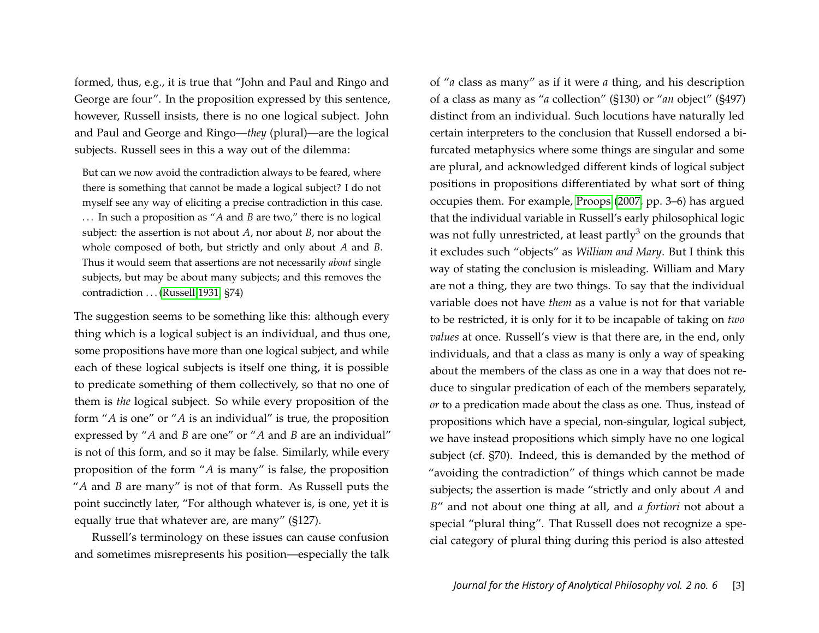formed, thus, e.g., it is true that "John and Paul and Ringo and George are four". In the proposition expressed by this sentence, however, Russell insists, there is no one logical subject. John and Paul and George and Ringo—*they* (plural)—are the logical subjects. Russell sees in this a way out of the dilemma:

But can we now avoid the contradiction always to be feared, where there is something that cannot be made a logical subject? I do not myself see any way of eliciting a precise contradiction in this case. . . . In such a proposition as "*A* and *B* are two," there is no logical subject: the assertion is not about *A*, nor about *B*, nor about the whole composed of both, but strictly and only about *A* and *B*. Thus it would seem that assertions are not necessarily *about* single subjects, but may be about many subjects; and this removes the contradiction . . . [\(Russell 1931,](#page-21-0) §74)

The suggestion seems to be something like this: although every thing which is a logical subject is an individual, and thus one, some propositions have more than one logical subject, and while each of these logical subjects is itself one thing, it is possible to predicate something of them collectively, so that no one of them is *the* logical subject. So while every proposition of the form "*A* is one" or "*A* is an individual" is true, the proposition expressed by "*A* and *B* are one" or "*A* and *B* are an individual" is not of this form, and so it may be false. Similarly, while every proposition of the form "*A* is many" is false, the proposition "*A* and *B* are many" is not of that form. As Russell puts the point succinctly later, "For although whatever is, is one, yet it is equally true that whatever are, are many" (§127).

Russell's terminology on these issues can cause confusion and sometimes misrepresents his position—especially the talk

of "*a* class as many" as if it were *a* thing, and his description of a class as many as "*a* collection" (§130) or "*an* object" (§497) distinct from an individual. Such locutions have naturally led certain interpreters to the conclusion that Russell endorsed a bifurcated metaphysics where some things are singular and some are plural, and acknowledged different kinds of logical subject positions in propositions differentiated by what sort of thing occupies them. For example, [Proops](#page-20-1) [\(2007,](#page-20-1) pp. 3–6) has argued that the individual variable in Russell's early philosophical logic was not fully unrestricted, at least partly<sup>3</sup> on the grounds that it excludes such "objects" as *William and Mary*. But I think this way of stating the conclusion is misleading. William and Mary are not a thing, they are two things. To say that the individual variable does not have *them* as a value is not for that variable to be restricted, it is only for it to be incapable of taking on *two values* at once. Russell's view is that there are, in the end, only individuals, and that a class as many is only a way of speaking about the members of the class as one in a way that does not reduce to singular predication of each of the members separately, *or* to a predication made about the class as one. Thus, instead of propositions which have a special, non-singular, logical subject, we have instead propositions which simply have no one logical subject (cf. §70). Indeed, this is demanded by the method of "avoiding the contradiction" of things which cannot be made subjects; the assertion is made "strictly and only about *A* and *B*" and not about one thing at all, and *a fortiori* not about a special "plural thing". That Russell does not recognize a special category of plural thing during this period is also attested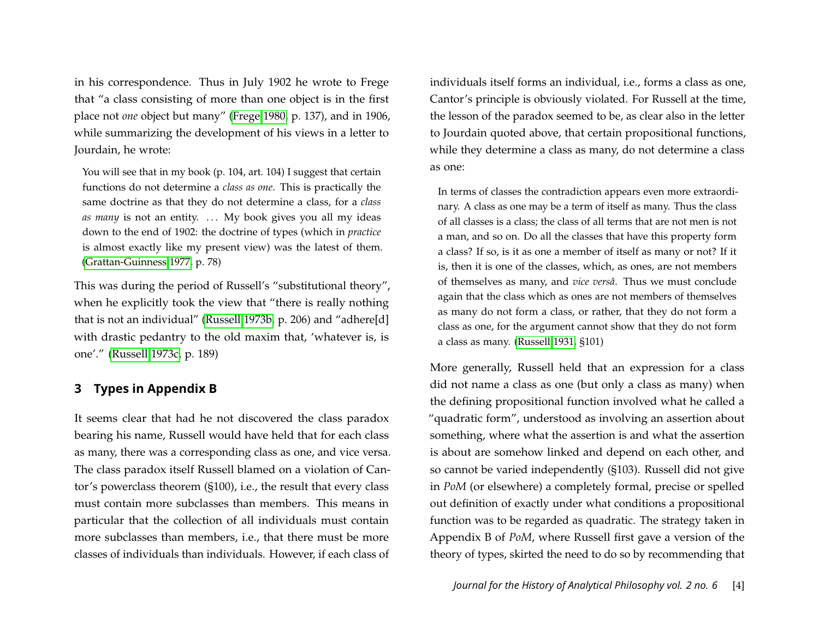in his correspondence. Thus in July 1902 he wrote to Frege that "a class consisting of more than one object is in the first place not *one* object but many" [\(Frege 1980,](#page-20-0) p. 137), and in 1906, while summarizing the development of his views in a letter to Jourdain, he wrote:

You will see that in my book (p. 104, art. 104) I suggest that certain functions do not determine a *class as one*. This is practically the same doctrine as that they do not determine a class, for a *class as many* is not an entity. ... My book gives you all my ideas down to the end of 1902: the doctrine of types (which in *practice* is almost exactly like my present view) was the latest of them. [\(Grattan-Guinness 1977,](#page-20-2) p. 78)

This was during the period of Russell's "substitutional theory", when he explicitly took the view that "there is really nothing that is not an individual" [\(Russell 1973b,](#page-21-1) p. 206) and "adhere[d] with drastic pedantry to the old maxim that, 'whatever is, is one'." [\(Russell 1973c,](#page-21-2) p. 189)

## <span id="page-4-0"></span>**3 Types in Appendix B**

It seems clear that had he not discovered the class paradox bearing his name, Russell would have held that for each class as many, there was a corresponding class as one, and vice versa. The class paradox itself Russell blamed on a violation of Cantor's powerclass theorem (§100), i.e., the result that every class must contain more subclasses than members. This means in particular that the collection of all individuals must contain more subclasses than members, i.e., that there must be more classes of individuals than individuals. However, if each class of

individuals itself forms an individual, i.e., forms a class as one, Cantor's principle is obviously violated. For Russell at the time, the lesson of the paradox seemed to be, as clear also in the letter to Jourdain quoted above, that certain propositional functions, while they determine a class as many, do not determine a class as one:

In terms of classes the contradiction appears even more extraordinary. A class as one may be a term of itself as many. Thus the class of all classes is a class; the class of all terms that are not men is not a man, and so on. Do all the classes that have this property form a class? If so, is it as one a member of itself as many or not? If it is, then it is one of the classes, which, as ones, are not members of themselves as many, and *vice versâ*. Thus we must conclude again that the class which as ones are not members of themselves as many do not form a class, or rather, that they do not form a class as one, for the argument cannot show that they do not form a class as many. [\(Russell 1931,](#page-21-0) §101)

More generally, Russell held that an expression for a class did not name a class as one (but only a class as many) when the defining propositional function involved what he called a "quadratic form", understood as involving an assertion about something, where what the assertion is and what the assertion is about are somehow linked and depend on each other, and so cannot be varied independently (§103). Russell did not give in *PoM* (or elsewhere) a completely formal, precise or spelled out definition of exactly under what conditions a propositional function was to be regarded as quadratic. The strategy taken in Appendix B of *PoM*, where Russell first gave a version of the theory of types, skirted the need to do so by recommending that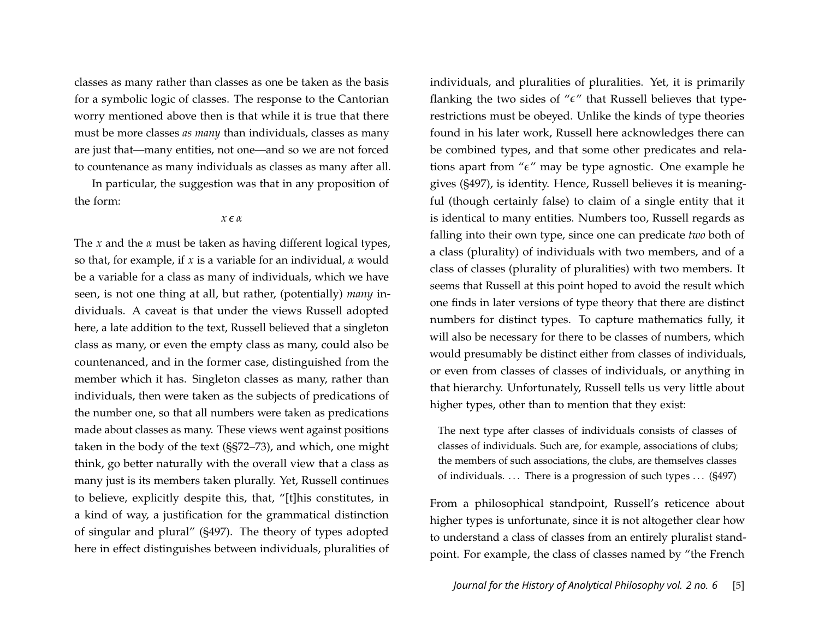classes as many rather than classes as one be taken as the basis for a symbolic logic of classes. The response to the Cantorian worry mentioned above then is that while it is true that there must be more classes *as many* than individuals, classes as many are just that—many entities, not one—and so we are not forced to countenance as many individuals as classes as many after all.

In particular, the suggestion was that in any proposition of the form:

#### *x* ∊ *α*

The *x* and the *α* must be taken as having different logical types, so that, for example, if *x* is a variable for an individual, *α* would be a variable for a class as many of individuals, which we have seen, is not one thing at all, but rather, (potentially) *many* individuals. A caveat is that under the views Russell adopted here, a late addition to the text, Russell believed that a singleton class as many, or even the empty class as many, could also be countenanced, and in the former case, distinguished from the member which it has. Singleton classes as many, rather than individuals, then were taken as the subjects of predications of the number one, so that all numbers were taken as predications made about classes as many. These views went against positions taken in the body of the text (§§72–73), and which, one might think, go better naturally with the overall view that a class as many just is its members taken plurally. Yet, Russell continues to believe, explicitly despite this, that, "[t]his constitutes, in a kind of way, a justification for the grammatical distinction of singular and plural" (§497). The theory of types adopted here in effect distinguishes between individuals, pluralities of

individuals, and pluralities of pluralities. Yet, it is primarily flanking the two sides of " $\epsilon$ " that Russell believes that typerestrictions must be obeyed. Unlike the kinds of type theories found in his later work, Russell here acknowledges there can be combined types, and that some other predicates and relations apart from "ε" may be type agnostic. One example he gives (§497), is identity. Hence, Russell believes it is meaningful (though certainly false) to claim of a single entity that it is identical to many entities. Numbers too, Russell regards as falling into their own type, since one can predicate *two* both of a class (plurality) of individuals with two members, and of a class of classes (plurality of pluralities) with two members. It seems that Russell at this point hoped to avoid the result which one finds in later versions of type theory that there are distinct numbers for distinct types. To capture mathematics fully, it will also be necessary for there to be classes of numbers, which would presumably be distinct either from classes of individuals, or even from classes of classes of individuals, or anything in that hierarchy. Unfortunately, Russell tells us very little about higher types, other than to mention that they exist:

The next type after classes of individuals consists of classes of classes of individuals. Such are, for example, associations of clubs; the members of such associations, the clubs, are themselves classes of individuals.  $\ldots$  There is a progression of such types  $\ldots$  (§497)

From a philosophical standpoint, Russell's reticence about higher types is unfortunate, since it is not altogether clear how to understand a class of classes from an entirely pluralist standpoint. For example, the class of classes named by "the French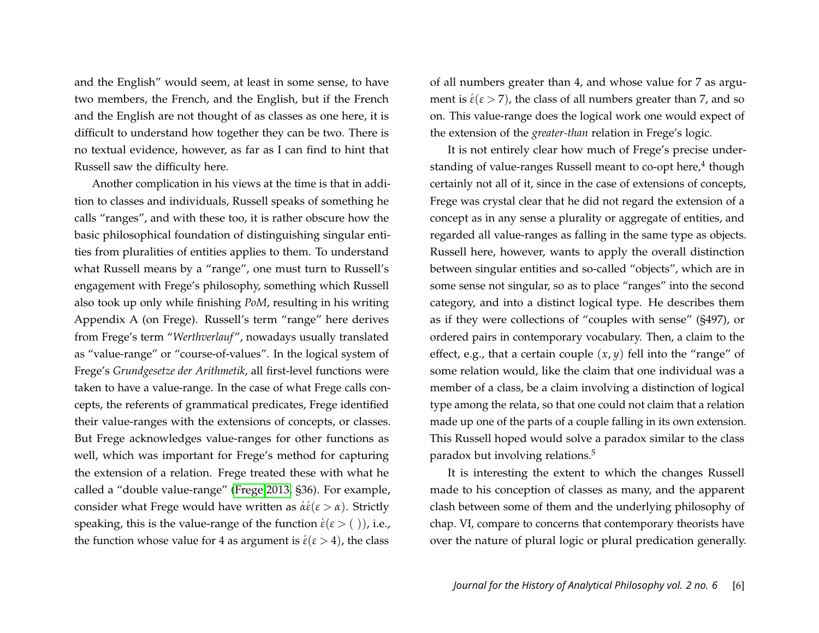and the English" would seem, at least in some sense, to have two members, the French, and the English, but if the French and the English are not thought of as classes as one here, it is difficult to understand how together they can be two. There is no textual evidence, however, as far as I can find to hint that Russell saw the difficulty here.

Another complication in his views at the time is that in addition to classes and individuals, Russell speaks of something he calls "ranges", and with these too, it is rather obscure how the basic philosophical foundation of distinguishing singular entities from pluralities of entities applies to them. To understand what Russell means by a "range", one must turn to Russell's engagement with Frege's philosophy, something which Russell also took up only while finishing *PoM*, resulting in his writing Appendix A (on Frege). Russell's term "range" here derives from Frege's term "*Werthverlauf* ", nowadays usually translated as "value-range" or "course-of-values". In the logical system of Frege's *Grundgesetze der Arithmetik*, all first-level functions were taken to have a value-range. In the case of what Frege calls concepts, the referents of grammatical predicates, Frege identified their value-ranges with the extensions of concepts, or classes. But Frege acknowledges value-ranges for other functions as well, which was important for Frege's method for capturing the extension of a relation. Frege treated these with what he called a "double value-range" [\(Frege 2013,](#page-20-3) §36). For example, **consider what Frege would have written as**  $\acute{a}\acute{\epsilon}(\epsilon > \alpha)$ **. Strictly** speaking, this is the value-range of the function  $\acute{\epsilon}(\epsilon > ($  )), i.e., the function whose value for 4 as argument is  $\acute{\epsilon}(\epsilon > 4)$ , the class

of all numbers greater than 4, and whose value for 7 as argument is  $\acute{\epsilon}(\epsilon > 7)$ , the class of all numbers greater than 7, and so on. This value-range does the logical work one would expect of the extension of the *greater-than* relation in Frege's logic.

It is not entirely clear how much of Frege's precise understanding of value-ranges Russell meant to co-opt here,<sup>4</sup> though certainly not all of it, since in the case of extensions of concepts, Frege was crystal clear that he did not regard the extension of a concept as in any sense a plurality or aggregate of entities, and regarded all value-ranges as falling in the same type as objects. Russell here, however, wants to apply the overall distinction between singular entities and so-called "objects", which are in some sense not singular, so as to place "ranges" into the second category, and into a distinct logical type. He describes them as if they were collections of "couples with sense" (§497), or ordered pairs in contemporary vocabulary. Then, a claim to the effect, e.g., that a certain couple  $(x, y)$  fell into the "range" of some relation would, like the claim that one individual was a member of a class, be a claim involving a distinction of logical type among the relata, so that one could not claim that a relation made up one of the parts of a couple falling in its own extension. This Russell hoped would solve a paradox similar to the class paradox but involving relations.<sup>5</sup>

It is interesting the extent to which the changes Russell made to his conception of classes as many, and the apparent clash between some of them and the underlying philosophy of chap. VI, compare to concerns that contemporary theorists have over the nature of plural logic or plural predication generally.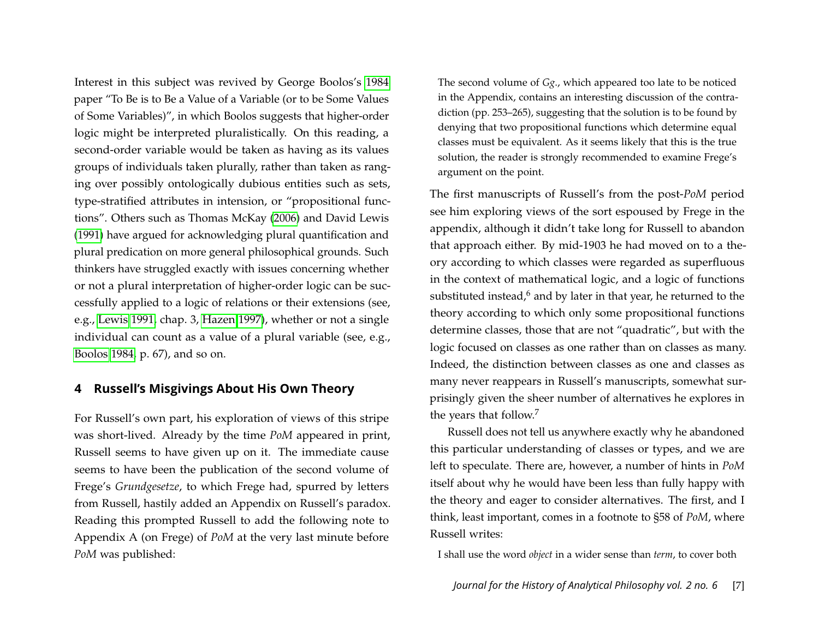Interest in this subject was revived by George Boolos's [1984](#page-20-4) paper "To Be is to Be a Value of a Variable (or to be Some Values of Some Variables)", in which Boolos suggests that higher-order logic might be interpreted pluralistically. On this reading, a second-order variable would be taken as having as its values groups of individuals taken plurally, rather than taken as ranging over possibly ontologically dubious entities such as sets, type-stratified attributes in intension, or "propositional functions". Others such as Thomas McKay [\(2006\)](#page-20-5) and David Lewis [\(1991\)](#page-20-6) have argued for acknowledging plural quantification and plural predication on more general philosophical grounds. Such thinkers have struggled exactly with issues concerning whether or not a plural interpretation of higher-order logic can be successfully applied to a logic of relations or their extensions (see, e.g., [Lewis 1991,](#page-20-6) chap. 3, [Hazen 1997\)](#page-20-7), whether or not a single individual can count as a value of a plural variable (see, e.g., [Boolos 1984,](#page-20-4) p. 67), and so on.

#### <span id="page-7-0"></span>**4 Russell's Misgivings About His Own Theory**

For Russell's own part, his exploration of views of this stripe was short-lived. Already by the time *PoM* appeared in print, Russell seems to have given up on it. The immediate cause seems to have been the publication of the second volume of Frege's *Grundgesetze*, to which Frege had, spurred by letters from Russell, hastily added an Appendix on Russell's paradox. Reading this prompted Russell to add the following note to Appendix A (on Frege) of *PoM* at the very last minute before *PoM* was published:

The second volume of *Gg*., which appeared too late to be noticed in the Appendix, contains an interesting discussion of the contradiction (pp. 253–265), suggesting that the solution is to be found by denying that two propositional functions which determine equal classes must be equivalent. As it seems likely that this is the true solution, the reader is strongly recommended to examine Frege's argument on the point.

The first manuscripts of Russell's from the post-*PoM* period see him exploring views of the sort espoused by Frege in the appendix, although it didn't take long for Russell to abandon that approach either. By mid-1903 he had moved on to a theory according to which classes were regarded as superfluous in the context of mathematical logic, and a logic of functions substituted instead, $6$  and by later in that year, he returned to the theory according to which only some propositional functions determine classes, those that are not "quadratic", but with the logic focused on classes as one rather than on classes as many. Indeed, the distinction between classes as one and classes as many never reappears in Russell's manuscripts, somewhat surprisingly given the sheer number of alternatives he explores in the years that follow.<sup>7</sup>

Russell does not tell us anywhere exactly why he abandoned this particular understanding of classes or types, and we are left to speculate. There are, however, a number of hints in *PoM* itself about why he would have been less than fully happy with the theory and eager to consider alternatives. The first, and I think, least important, comes in a footnote to §58 of *PoM*, where Russell writes:

I shall use the word *object* in a wider sense than *term*, to cover both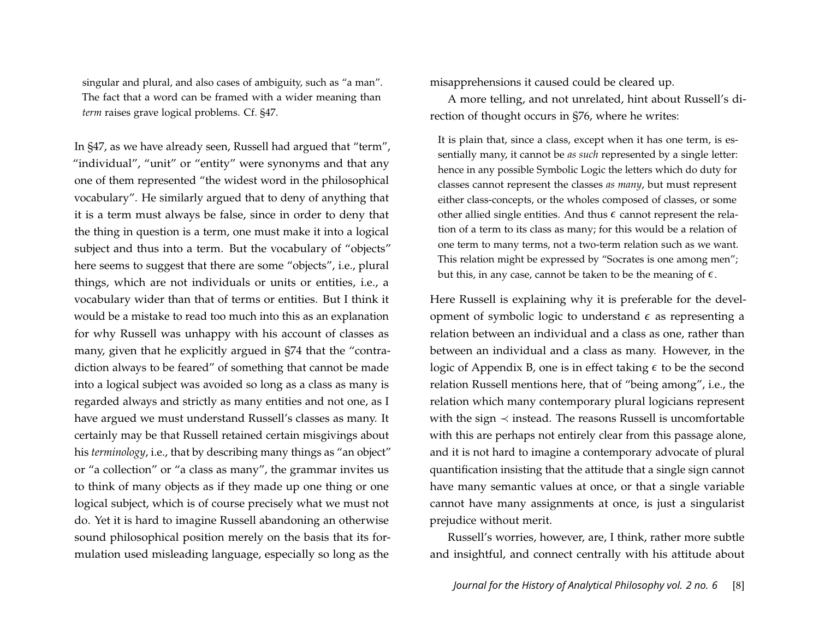singular and plural, and also cases of ambiguity, such as "a man". The fact that a word can be framed with a wider meaning than *term* raises grave logical problems. Cf. §47.

In §47, as we have already seen, Russell had argued that "term", "individual", "unit" or "entity" were synonyms and that any one of them represented "the widest word in the philosophical vocabulary". He similarly argued that to deny of anything that it is a term must always be false, since in order to deny that the thing in question is a term, one must make it into a logical subject and thus into a term. But the vocabulary of "objects" here seems to suggest that there are some "objects", i.e., plural things, which are not individuals or units or entities, i.e., a vocabulary wider than that of terms or entities. But I think it would be a mistake to read too much into this as an explanation for why Russell was unhappy with his account of classes as many, given that he explicitly argued in §74 that the "contradiction always to be feared" of something that cannot be made into a logical subject was avoided so long as a class as many is regarded always and strictly as many entities and not one, as I have argued we must understand Russell's classes as many. It certainly may be that Russell retained certain misgivings about his *terminology*, i.e., that by describing many things as "an object" or "a collection" or "a class as many", the grammar invites us to think of many objects as if they made up one thing or one logical subject, which is of course precisely what we must not do. Yet it is hard to imagine Russell abandoning an otherwise sound philosophical position merely on the basis that its formulation used misleading language, especially so long as the

misapprehensions it caused could be cleared up.

A more telling, and not unrelated, hint about Russell's direction of thought occurs in §76, where he writes:

It is plain that, since a class, except when it has one term, is essentially many, it cannot be *as such* represented by a single letter: hence in any possible Symbolic Logic the letters which do duty for classes cannot represent the classes *as many*, but must represent either class-concepts, or the wholes composed of classes, or some other allied single entities. And thus  $\epsilon$  cannot represent the relation of a term to its class as many; for this would be a relation of one term to many terms, not a two-term relation such as we want. This relation might be expressed by "Socrates is one among men"; but this, in any case, cannot be taken to be the meaning of  $\epsilon$ .

Here Russell is explaining why it is preferable for the development of symbolic logic to understand  $\epsilon$  as representing a relation between an individual and a class as one, rather than between an individual and a class as many. However, in the logic of Appendix B, one is in effect taking  $\epsilon$  to be the second relation Russell mentions here, that of "being among", i.e., the relation which many contemporary plural logicians represent with the sign  $\prec$  instead. The reasons Russell is uncomfortable with this are perhaps not entirely clear from this passage alone, and it is not hard to imagine a contemporary advocate of plural quantification insisting that the attitude that a single sign cannot have many semantic values at once, or that a single variable cannot have many assignments at once, is just a singularist prejudice without merit.

Russell's worries, however, are, I think, rather more subtle and insightful, and connect centrally with his attitude about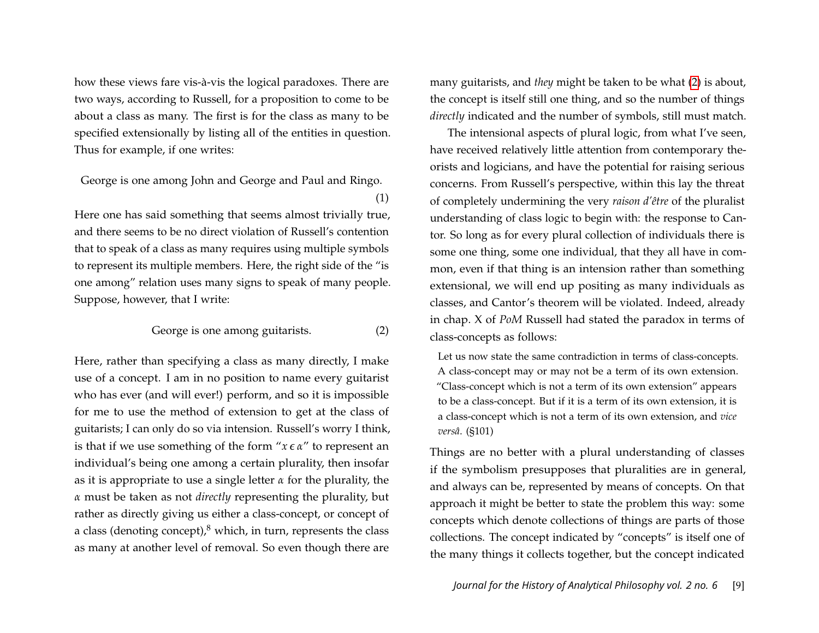how these views fare vis-à-vis the logical paradoxes. There are two ways, according to Russell, for a proposition to come to be about a class as many. The first is for the class as many to be specified extensionally by listing all of the entities in question. Thus for example, if one writes:

George is one among John and George and Paul and Ringo. (1)

Here one has said something that seems almost trivially true, and there seems to be no direct violation of Russell's contention that to speak of a class as many requires using multiple symbols to represent its multiple members. Here, the right side of the "is one among" relation uses many signs to speak of many people. Suppose, however, that I write:

#### <span id="page-9-0"></span>George is one among guitarists. (2)

Here, rather than specifying a class as many directly, I make use of a concept. I am in no position to name every guitarist who has ever (and will ever!) perform, and so it is impossible for me to use the method of extension to get at the class of guitarists; I can only do so via intension. Russell's worry I think, is that if we use something of the form "*x* ∊ *α*" to represent an individual's being one among a certain plurality, then insofar as it is appropriate to use a single letter *α* for the plurality, the *α* must be taken as not *directly* representing the plurality, but rather as directly giving us either a class-concept, or concept of a class (denoting concept), $8$  which, in turn, represents the class as many at another level of removal. So even though there are

many guitarists, and *they* might be taken to be what [\(2\)](#page-9-0) is about, the concept is itself still one thing, and so the number of things *directly* indicated and the number of symbols, still must match.

The intensional aspects of plural logic, from what I've seen, have received relatively little attention from contemporary theorists and logicians, and have the potential for raising serious concerns. From Russell's perspective, within this lay the threat of completely undermining the very *raison d'être* of the pluralist understanding of class logic to begin with: the response to Cantor. So long as for every plural collection of individuals there is some one thing, some one individual, that they all have in common, even if that thing is an intension rather than something extensional, we will end up positing as many individuals as classes, and Cantor's theorem will be violated. Indeed, already in chap. X of *PoM* Russell had stated the paradox in terms of class-concepts as follows:

Let us now state the same contradiction in terms of class-concepts. A class-concept may or may not be a term of its own extension. "Class-concept which is not a term of its own extension" appears to be a class-concept. But if it is a term of its own extension, it is a class-concept which is not a term of its own extension, and *vice versâ*. (§101)

Things are no better with a plural understanding of classes if the symbolism presupposes that pluralities are in general, and always can be, represented by means of concepts. On that approach it might be better to state the problem this way: some concepts which denote collections of things are parts of those collections. The concept indicated by "concepts" is itself one of the many things it collects together, but the concept indicated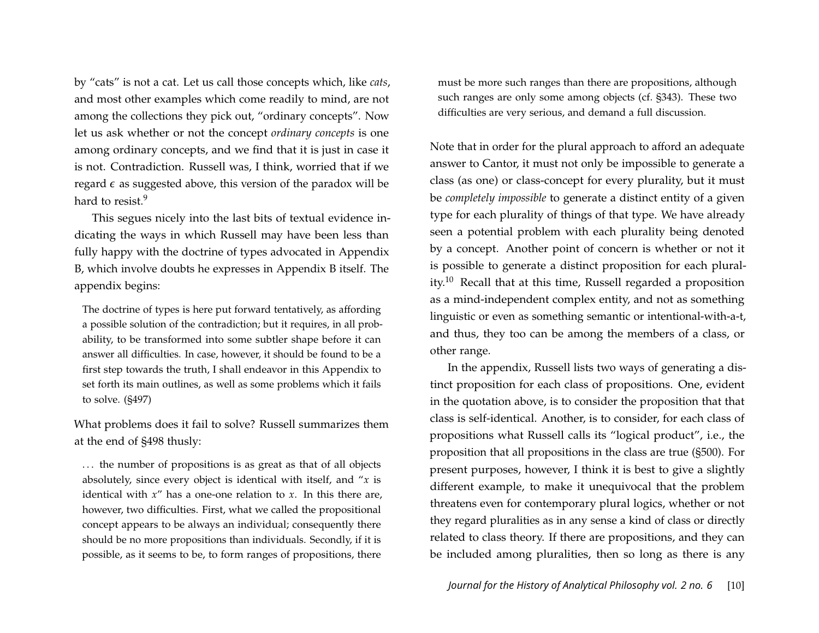by "cats" is not a cat. Let us call those concepts which, like *cats*, and most other examples which come readily to mind, are not among the collections they pick out, "ordinary concepts". Now let us ask whether or not the concept *ordinary concepts* is one among ordinary concepts, and we find that it is just in case it is not. Contradiction. Russell was, I think, worried that if we regard  $\epsilon$  as suggested above, this version of the paradox will be hard to resist.<sup>9</sup>

This segues nicely into the last bits of textual evidence indicating the ways in which Russell may have been less than fully happy with the doctrine of types advocated in Appendix B, which involve doubts he expresses in Appendix B itself. The appendix begins:

The doctrine of types is here put forward tentatively, as affording a possible solution of the contradiction; but it requires, in all probability, to be transformed into some subtler shape before it can answer all difficulties. In case, however, it should be found to be a first step towards the truth, I shall endeavor in this Appendix to set forth its main outlines, as well as some problems which it fails to solve. (§497)

What problems does it fail to solve? Russell summarizes them at the end of §498 thusly:

... the number of propositions is as great as that of all objects absolutely, since every object is identical with itself, and "*x* is identical with *x*" has a one-one relation to *x*. In this there are, however, two difficulties. First, what we called the propositional concept appears to be always an individual; consequently there should be no more propositions than individuals. Secondly, if it is possible, as it seems to be, to form ranges of propositions, there

must be more such ranges than there are propositions, although such ranges are only some among objects (cf. §343). These two difficulties are very serious, and demand a full discussion.

Note that in order for the plural approach to afford an adequate answer to Cantor, it must not only be impossible to generate a class (as one) or class-concept for every plurality, but it must be *completely impossible* to generate a distinct entity of a given type for each plurality of things of that type. We have already seen a potential problem with each plurality being denoted by a concept. Another point of concern is whether or not it is possible to generate a distinct proposition for each plurality.<sup>10</sup> Recall that at this time, Russell regarded a proposition as a mind-independent complex entity, and not as something linguistic or even as something semantic or intentional-with-a-t, and thus, they too can be among the members of a class, or other range.

In the appendix, Russell lists two ways of generating a distinct proposition for each class of propositions. One, evident in the quotation above, is to consider the proposition that that class is self-identical. Another, is to consider, for each class of propositions what Russell calls its "logical product", i.e., the proposition that all propositions in the class are true (§500). For present purposes, however, I think it is best to give a slightly different example, to make it unequivocal that the problem threatens even for contemporary plural logics, whether or not they regard pluralities as in any sense a kind of class or directly related to class theory. If there are propositions, and they can be included among pluralities, then so long as there is any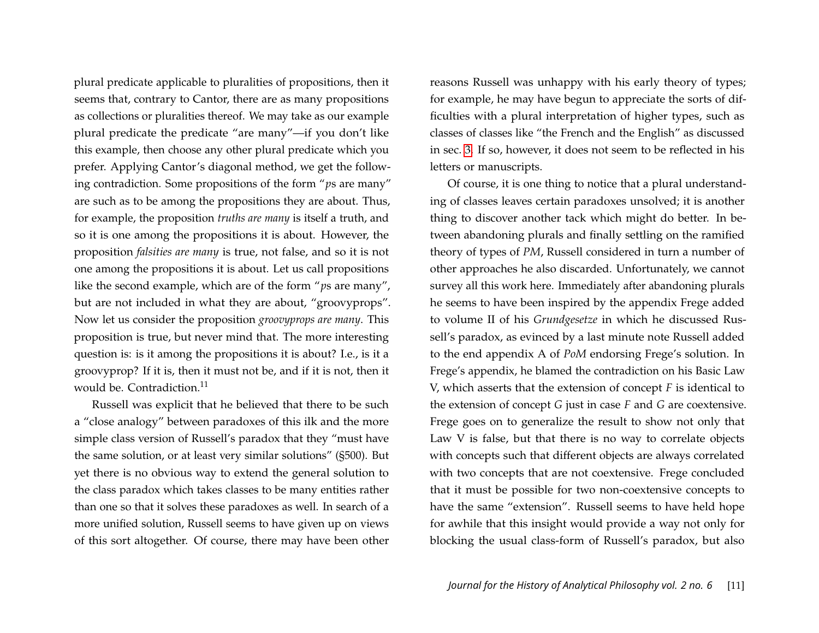plural predicate applicable to pluralities of propositions, then it seems that, contrary to Cantor, there are as many propositions as collections or pluralities thereof. We may take as our example plural predicate the predicate "are many"—if you don't like this example, then choose any other plural predicate which you prefer. Applying Cantor's diagonal method, we get the following contradiction. Some propositions of the form "*p*s are many" are such as to be among the propositions they are about. Thus, for example, the proposition *truths are many* is itself a truth, and so it is one among the propositions it is about. However, the proposition *falsities are many* is true, not false, and so it is not one among the propositions it is about. Let us call propositions like the second example, which are of the form "*p*s are many", but are not included in what they are about, "groovyprops". Now let us consider the proposition *groovyprops are many*. This proposition is true, but never mind that. The more interesting question is: is it among the propositions it is about? I.e., is it a groovyprop? If it is, then it must not be, and if it is not, then it would be. Contradiction.<sup>11</sup>

Russell was explicit that he believed that there to be such a "close analogy" between paradoxes of this ilk and the more simple class version of Russell's paradox that they "must have the same solution, or at least very similar solutions" (§500). But yet there is no obvious way to extend the general solution to the class paradox which takes classes to be many entities rather than one so that it solves these paradoxes as well. In search of a more unified solution, Russell seems to have given up on views of this sort altogether. Of course, there may have been other reasons Russell was unhappy with his early theory of types; for example, he may have begun to appreciate the sorts of difficulties with a plural interpretation of higher types, such as classes of classes like "the French and the English" as discussed in sec. [3.](#page-4-0) If so, however, it does not seem to be reflected in his letters or manuscripts.

Of course, it is one thing to notice that a plural understanding of classes leaves certain paradoxes unsolved; it is another thing to discover another tack which might do better. In between abandoning plurals and finally settling on the ramified theory of types of *PM*, Russell considered in turn a number of other approaches he also discarded. Unfortunately, we cannot survey all this work here. Immediately after abandoning plurals he seems to have been inspired by the appendix Frege added to volume II of his *Grundgesetze* in which he discussed Russell's paradox, as evinced by a last minute note Russell added to the end appendix A of *PoM* endorsing Frege's solution. In Frege's appendix, he blamed the contradiction on his Basic Law V, which asserts that the extension of concept *F* is identical to the extension of concept *G* just in case *F* and *G* are coextensive. Frege goes on to generalize the result to show not only that Law V is false, but that there is no way to correlate objects with concepts such that different objects are always correlated with two concepts that are not coextensive. Frege concluded that it must be possible for two non-coextensive concepts to have the same "extension". Russell seems to have held hope for awhile that this insight would provide a way not only for blocking the usual class-form of Russell's paradox, but also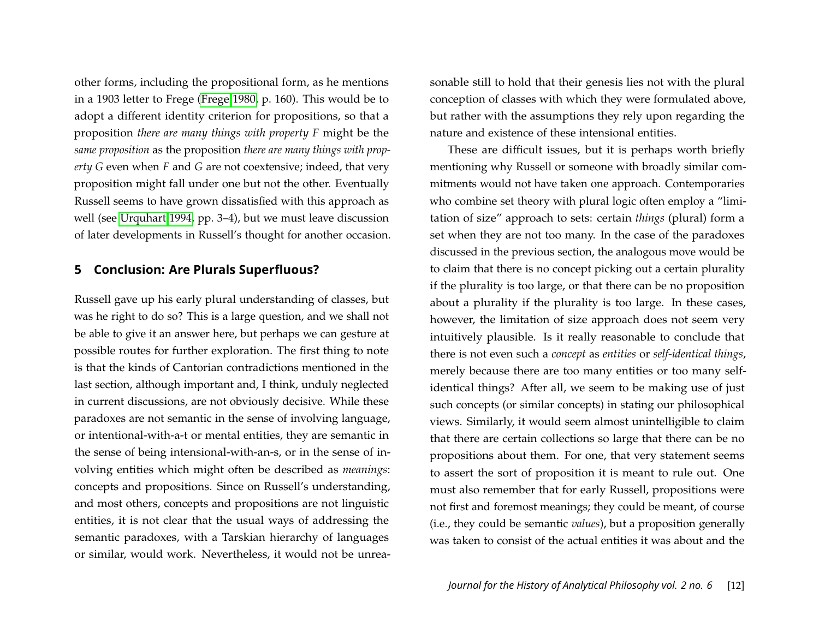other forms, including the propositional form, as he mentions in a 1903 letter to Frege [\(Frege 1980,](#page-20-0) p. 160). This would be to adopt a different identity criterion for propositions, so that a proposition *there are many things with property F* might be the *same proposition* as the proposition *there are many things with property G* even when *F* and *G* are not coextensive; indeed, that very proposition might fall under one but not the other. Eventually Russell seems to have grown dissatisfied with this approach as well (see [Urquhart 1994,](#page-21-3) pp. 3–4), but we must leave discussion of later developments in Russell's thought for another occasion.

#### **5 Conclusion: Are Plurals Superfluous?**

Russell gave up his early plural understanding of classes, but was he right to do so? This is a large question, and we shall not be able to give it an answer here, but perhaps we can gesture at possible routes for further exploration. The first thing to note is that the kinds of Cantorian contradictions mentioned in the last section, although important and, I think, unduly neglected in current discussions, are not obviously decisive. While these paradoxes are not semantic in the sense of involving language, or intentional-with-a-t or mental entities, they are semantic in the sense of being intensional-with-an-s, or in the sense of involving entities which might often be described as *meanings*: concepts and propositions. Since on Russell's understanding, and most others, concepts and propositions are not linguistic entities, it is not clear that the usual ways of addressing the semantic paradoxes, with a Tarskian hierarchy of languages or similar, would work. Nevertheless, it would not be unreasonable still to hold that their genesis lies not with the plural conception of classes with which they were formulated above, but rather with the assumptions they rely upon regarding the nature and existence of these intensional entities.

These are difficult issues, but it is perhaps worth briefly mentioning why Russell or someone with broadly similar commitments would not have taken one approach. Contemporaries who combine set theory with plural logic often employ a "limitation of size" approach to sets: certain *things* (plural) form a set when they are not too many. In the case of the paradoxes discussed in the previous section, the analogous move would be to claim that there is no concept picking out a certain plurality if the plurality is too large, or that there can be no proposition about a plurality if the plurality is too large. In these cases, however, the limitation of size approach does not seem very intuitively plausible. Is it really reasonable to conclude that there is not even such a *concept* as *entities* or *self-identical things*, merely because there are too many entities or too many selfidentical things? After all, we seem to be making use of just such concepts (or similar concepts) in stating our philosophical views. Similarly, it would seem almost unintelligible to claim that there are certain collections so large that there can be no propositions about them. For one, that very statement seems to assert the sort of proposition it is meant to rule out. One must also remember that for early Russell, propositions were not first and foremost meanings; they could be meant, of course (i.e., they could be semantic *values*), but a proposition generally was taken to consist of the actual entities it was about and the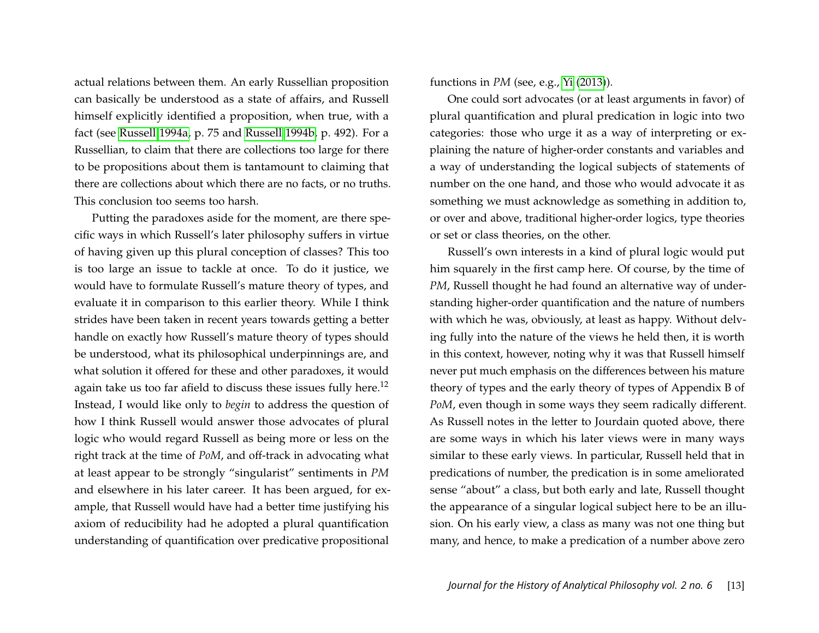actual relations between them. An early Russellian proposition can basically be understood as a state of affairs, and Russell himself explicitly identified a proposition, when true, with a fact (see [Russell 1994a,](#page-21-4) p. 75 and [Russell 1994b,](#page-21-5) p. 492). For a Russellian, to claim that there are collections too large for there to be propositions about them is tantamount to claiming that there are collections about which there are no facts, or no truths. This conclusion too seems too harsh.

Putting the paradoxes aside for the moment, are there specific ways in which Russell's later philosophy suffers in virtue of having given up this plural conception of classes? This too is too large an issue to tackle at once. To do it justice, we would have to formulate Russell's mature theory of types, and evaluate it in comparison to this earlier theory. While I think strides have been taken in recent years towards getting a better handle on exactly how Russell's mature theory of types should be understood, what its philosophical underpinnings are, and what solution it offered for these and other paradoxes, it would again take us too far afield to discuss these issues fully here.<sup>12</sup> Instead, I would like only to *begin* to address the question of how I think Russell would answer those advocates of plural logic who would regard Russell as being more or less on the right track at the time of *PoM*, and off-track in advocating what at least appear to be strongly "singularist" sentiments in *PM* and elsewhere in his later career. It has been argued, for example, that Russell would have had a better time justifying his axiom of reducibility had he adopted a plural quantification understanding of quantification over predicative propositional

functions in *PM* (see, e.g., [Yi](#page-21-6) [\(2013\)](#page-21-6)).

One could sort advocates (or at least arguments in favor) of plural quantification and plural predication in logic into two categories: those who urge it as a way of interpreting or explaining the nature of higher-order constants and variables and a way of understanding the logical subjects of statements of number on the one hand, and those who would advocate it as something we must acknowledge as something in addition to, or over and above, traditional higher-order logics, type theories or set or class theories, on the other.

Russell's own interests in a kind of plural logic would put him squarely in the first camp here. Of course, by the time of *PM*, Russell thought he had found an alternative way of understanding higher-order quantification and the nature of numbers with which he was, obviously, at least as happy. Without delving fully into the nature of the views he held then, it is worth in this context, however, noting why it was that Russell himself never put much emphasis on the differences between his mature theory of types and the early theory of types of Appendix B of *PoM*, even though in some ways they seem radically different. As Russell notes in the letter to Jourdain quoted above, there are some ways in which his later views were in many ways similar to these early views. In particular, Russell held that in predications of number, the predication is in some ameliorated sense "about" a class, but both early and late, Russell thought the appearance of a singular logical subject here to be an illusion. On his early view, a class as many was not one thing but many, and hence, to make a predication of a number above zero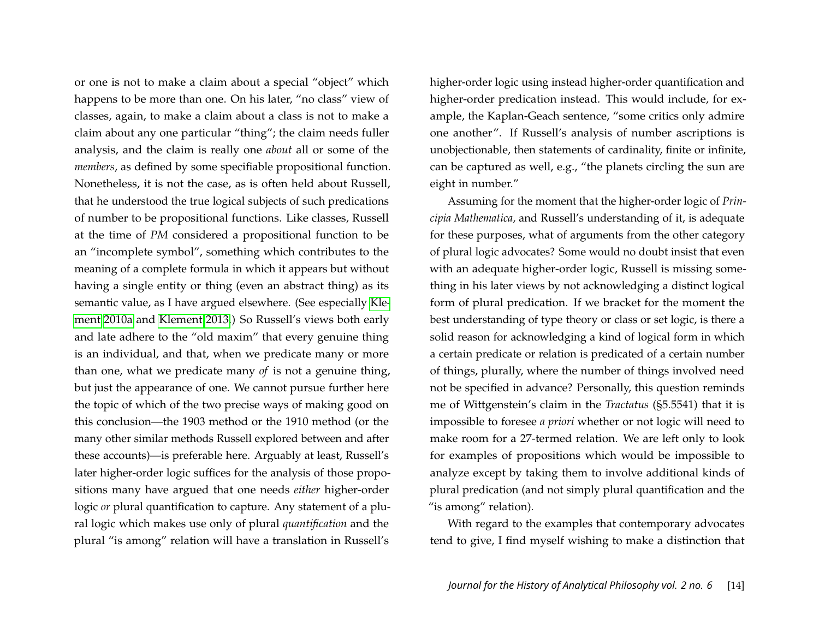or one is not to make a claim about a special "object" which happens to be more than one. On his later, "no class" view of classes, again, to make a claim about a class is not to make a claim about any one particular "thing"; the claim needs fuller analysis, and the claim is really one *about* all or some of the *members*, as defined by some specifiable propositional function. Nonetheless, it is not the case, as is often held about Russell, that he understood the true logical subjects of such predications of number to be propositional functions. Like classes, Russell at the time of *PM* considered a propositional function to be an "incomplete symbol", something which contributes to the meaning of a complete formula in which it appears but without having a single entity or thing (even an abstract thing) as its semantic value, as I have argued elsewhere. (See especially [Kle](#page-20-8)[ment 2010a](#page-20-8) and [Klement 2013.](#page-20-9)) So Russell's views both early and late adhere to the "old maxim" that every genuine thing is an individual, and that, when we predicate many or more than one, what we predicate many *of* is not a genuine thing, but just the appearance of one. We cannot pursue further here the topic of which of the two precise ways of making good on this conclusion—the 1903 method or the 1910 method (or the many other similar methods Russell explored between and after these accounts)—is preferable here. Arguably at least, Russell's later higher-order logic suffices for the analysis of those propositions many have argued that one needs *either* higher-order logic *or* plural quantification to capture. Any statement of a plural logic which makes use only of plural *quantification* and the plural "is among" relation will have a translation in Russell's

higher-order logic using instead higher-order quantification and higher-order predication instead. This would include, for example, the Kaplan-Geach sentence, "some critics only admire one another". If Russell's analysis of number ascriptions is unobjectionable, then statements of cardinality, finite or infinite, can be captured as well, e.g., "the planets circling the sun are eight in number."

Assuming for the moment that the higher-order logic of *Principia Mathematica*, and Russell's understanding of it, is adequate for these purposes, what of arguments from the other category of plural logic advocates? Some would no doubt insist that even with an adequate higher-order logic, Russell is missing something in his later views by not acknowledging a distinct logical form of plural predication. If we bracket for the moment the best understanding of type theory or class or set logic, is there a solid reason for acknowledging a kind of logical form in which a certain predicate or relation is predicated of a certain number of things, plurally, where the number of things involved need not be specified in advance? Personally, this question reminds me of Wittgenstein's claim in the *Tractatus* (§5.5541) that it is impossible to foresee *a priori* whether or not logic will need to make room for a 27-termed relation. We are left only to look for examples of propositions which would be impossible to analyze except by taking them to involve additional kinds of plural predication (and not simply plural quantification and the "is among" relation).

With regard to the examples that contemporary advocates tend to give, I find myself wishing to make a distinction that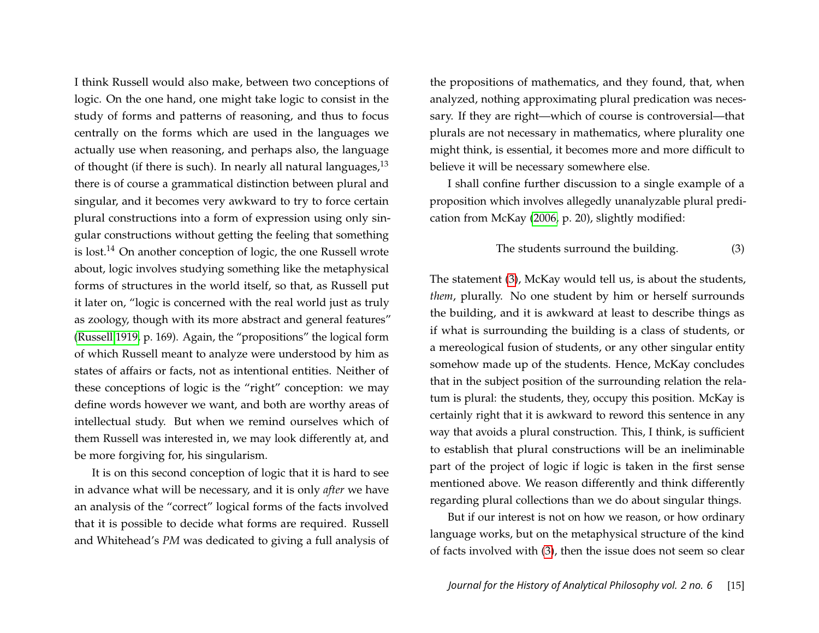I think Russell would also make, between two conceptions of logic. On the one hand, one might take logic to consist in the study of forms and patterns of reasoning, and thus to focus centrally on the forms which are used in the languages we actually use when reasoning, and perhaps also, the language of thought (if there is such). In nearly all natural languages, $13$ there is of course a grammatical distinction between plural and singular, and it becomes very awkward to try to force certain plural constructions into a form of expression using only singular constructions without getting the feeling that something is lost.<sup>14</sup> On another conception of logic, the one Russell wrote about, logic involves studying something like the metaphysical forms of structures in the world itself, so that, as Russell put it later on, "logic is concerned with the real world just as truly as zoology, though with its more abstract and general features" [\(Russell 1919,](#page-21-7) p. 169). Again, the "propositions" the logical form of which Russell meant to analyze were understood by him as states of affairs or facts, not as intentional entities. Neither of these conceptions of logic is the "right" conception: we may define words however we want, and both are worthy areas of intellectual study. But when we remind ourselves which of them Russell was interested in, we may look differently at, and be more forgiving for, his singularism.

It is on this second conception of logic that it is hard to see in advance what will be necessary, and it is only *after* we have an analysis of the "correct" logical forms of the facts involved that it is possible to decide what forms are required. Russell and Whitehead's *PM* was dedicated to giving a full analysis of

the propositions of mathematics, and they found, that, when analyzed, nothing approximating plural predication was necessary. If they are right—which of course is controversial—that plurals are not necessary in mathematics, where plurality one might think, is essential, it becomes more and more difficult to believe it will be necessary somewhere else.

I shall confine further discussion to a single example of a proposition which involves allegedly unanalyzable plural predication from McKay [\(2006,](#page-20-5) p. 20), slightly modified:

#### <span id="page-15-0"></span>The students surround the building. (3)

The statement [\(3\)](#page-15-0), McKay would tell us, is about the students, *them*, plurally. No one student by him or herself surrounds the building, and it is awkward at least to describe things as if what is surrounding the building is a class of students, or a mereological fusion of students, or any other singular entity somehow made up of the students. Hence, McKay concludes that in the subject position of the surrounding relation the relatum is plural: the students, they, occupy this position. McKay is certainly right that it is awkward to reword this sentence in any way that avoids a plural construction. This, I think, is sufficient to establish that plural constructions will be an ineliminable part of the project of logic if logic is taken in the first sense mentioned above. We reason differently and think differently regarding plural collections than we do about singular things.

But if our interest is not on how we reason, or how ordinary language works, but on the metaphysical structure of the kind of facts involved with [\(3\)](#page-15-0), then the issue does not seem so clear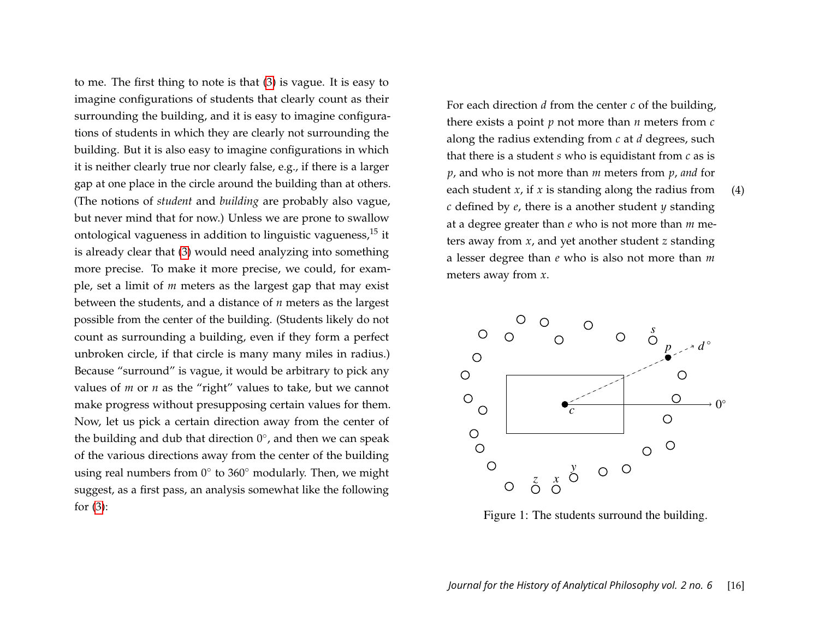to me. The first thing to note is that [\(3\)](#page-15-0) is vague. It is easy to imagine configurations of students that clearly count as their surrounding the building, and it is easy to imagine configurations of students in which they are clearly not surrounding the building. But it is also easy to imagine configurations in which it is neither clearly true nor clearly false, e.g., if there is a larger gap at one place in the circle around the building than at others. (The notions of *student* and *building* are probably also vague, but never mind that for now.) Unless we are prone to swallow ontological vagueness in addition to linguistic vagueness,  $15$  it is already clear that [\(3\)](#page-15-0) would need analyzing into something more precise. To make it more precise, we could, for example, set a limit of *m* meters as the largest gap that may exist between the students, and a distance of *n* meters as the largest possible from the center of the building. (Students likely do not count as surrounding a building, even if they form a perfect unbroken circle, if that circle is many many miles in radius.) Because "surround" is vague, it would be arbitrary to pick any values of *m* or *n* as the "right" values to take, but we cannot make progress without presupposing certain values for them. Now, let us pick a certain direction away from the center of the building and dub that direction  $0^{\circ}$ , and then we can speak of the various directions away from the center of the building using real numbers from  $0^{\circ}$  to 360 $^{\circ}$  modularly. Then, we might suggest, as a first pass, an analysis somewhat like the following for [\(3\)](#page-15-0): make progress with presupposing certain values for the method certain values for the method certain direction of the method certain direction of the method certain direction of the method certain direction of the method ce

<span id="page-16-0"></span>as then  $\alpha$  for each direction *d* from the center *c* of the building,  $\frac{d}{dx}$  there exists a point *p* not more than *n* meters from *c*  $\frac{mg}{dt}$  along the radius extending from *c* at *d* degrees, such that there is a student *s* who is equidistant from *c* as is  $p$ , and who is not more than  $m$  meters from  $p$ , and for each student *x*, if *x* is standing along the radius from  $(4)$ *c* defined by *e*, there is a another student *y* standing at a degree greater than *e* who is not more than *m* meters away from *x*, and yet another student *z* standing a lesser degree than *e* who is also not more than *m* meters away from *x*.



Figure 1: The students surround the building.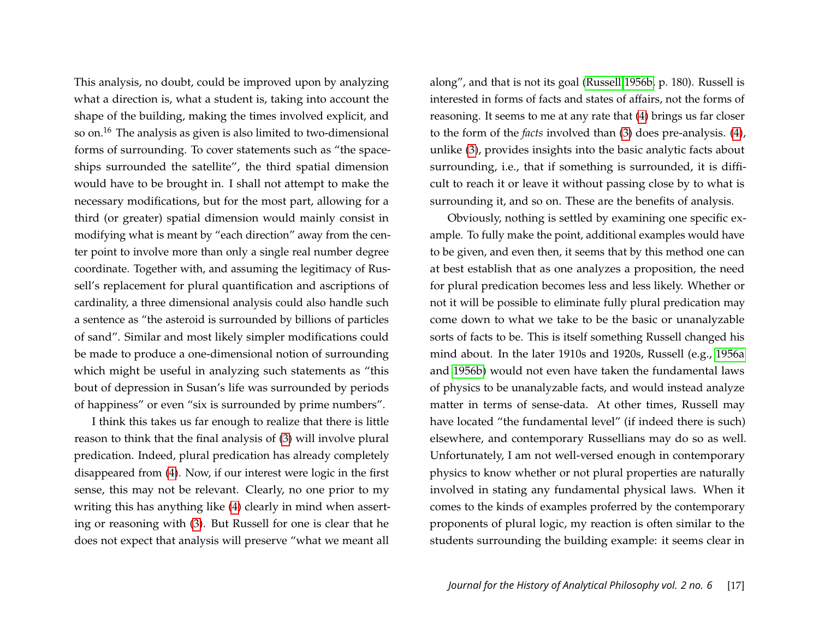This analysis, no doubt, could be improved upon by analyzing what a direction is, what a student is, taking into account the shape of the building, making the times involved explicit, and so on.<sup>16</sup> The analysis as given is also limited to two-dimensional forms of surrounding. To cover statements such as "the spaceships surrounded the satellite", the third spatial dimension would have to be brought in. I shall not attempt to make the necessary modifications, but for the most part, allowing for a third (or greater) spatial dimension would mainly consist in modifying what is meant by "each direction" away from the center point to involve more than only a single real number degree coordinate. Together with, and assuming the legitimacy of Russell's replacement for plural quantification and ascriptions of cardinality, a three dimensional analysis could also handle such a sentence as "the asteroid is surrounded by billions of particles of sand". Similar and most likely simpler modifications could be made to produce a one-dimensional notion of surrounding which might be useful in analyzing such statements as "this bout of depression in Susan's life was surrounded by periods of happiness" or even "six is surrounded by prime numbers".

I think this takes us far enough to realize that there is little reason to think that the final analysis of [\(3\)](#page-15-0) will involve plural predication. Indeed, plural predication has already completely disappeared from [\(4\)](#page-16-0). Now, if our interest were logic in the first sense, this may not be relevant. Clearly, no one prior to my writing this has anything like [\(4\)](#page-16-0) clearly in mind when asserting or reasoning with [\(3\)](#page-15-0). But Russell for one is clear that he does not expect that analysis will preserve "what we meant all

along", and that is not its goal [\(Russell 1956b,](#page-21-8) p. 180). Russell is interested in forms of facts and states of affairs, not the forms of reasoning. It seems to me at any rate that [\(4\)](#page-16-0) brings us far closer to the form of the *facts* involved than [\(3\)](#page-15-0) does pre-analysis. [\(4\)](#page-16-0), unlike [\(3\)](#page-15-0), provides insights into the basic analytic facts about surrounding, i.e., that if something is surrounded, it is difficult to reach it or leave it without passing close by to what is surrounding it, and so on. These are the benefits of analysis.

Obviously, nothing is settled by examining one specific example. To fully make the point, additional examples would have to be given, and even then, it seems that by this method one can at best establish that as one analyzes a proposition, the need for plural predication becomes less and less likely. Whether or not it will be possible to eliminate fully plural predication may come down to what we take to be the basic or unanalyzable sorts of facts to be. This is itself something Russell changed his mind about. In the later 1910s and 1920s, Russell (e.g., [1956a](#page-21-9) and [1956b\)](#page-21-8) would not even have taken the fundamental laws of physics to be unanalyzable facts, and would instead analyze matter in terms of sense-data. At other times, Russell may have located "the fundamental level" (if indeed there is such) elsewhere, and contemporary Russellians may do so as well. Unfortunately, I am not well-versed enough in contemporary physics to know whether or not plural properties are naturally involved in stating any fundamental physical laws. When it comes to the kinds of examples proferred by the contemporary proponents of plural logic, my reaction is often similar to the students surrounding the building example: it seems clear in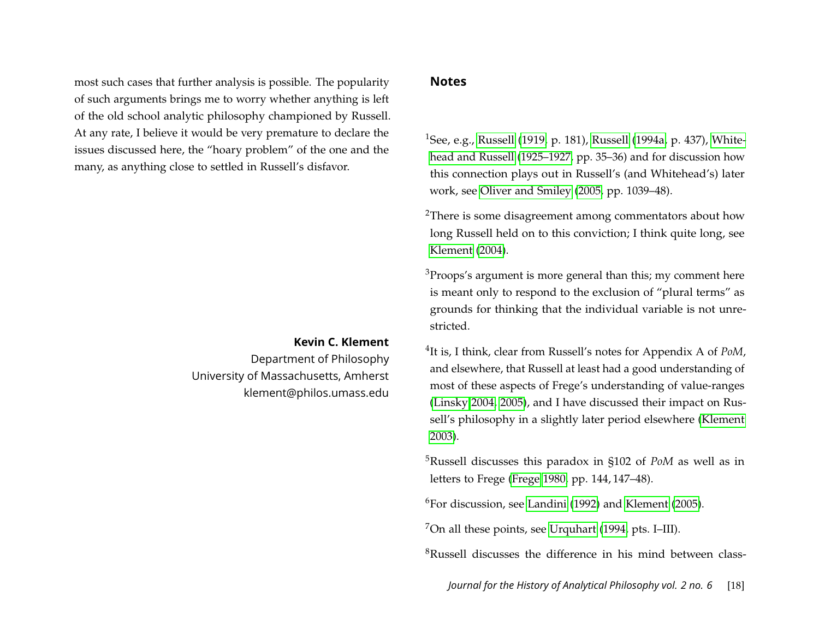most such cases that further analysis is possible. The popularity of such arguments brings me to worry whether anything is left of the old school analytic philosophy championed by Russell. At any rate, I believe it would be very premature to declare the issues discussed here, the "hoary problem" of the one and the many, as anything close to settled in Russell's disfavor.

#### **Kevin C. Klement**

Department of Philosophy University of Massachusetts, Amherst klement@philos.umass.edu

#### <span id="page-18-0"></span>**Notes**

<sup>1</sup>See, e.g., [Russell](#page-21-4) [\(1919,](#page-21-7) p. 181), Russell [\(1994a,](#page-21-4) p. 437), [White](#page-21-10)[head and Russell](#page-21-10) [\(1925–1927,](#page-21-10) pp. 35–36) and for discussion how this connection plays out in Russell's (and Whitehead's) later work, see [Oliver and Smiley](#page-20-10) [\(2005,](#page-20-10) pp. 1039–48).

<sup>2</sup>There is some disagreement among commentators about how long Russell held on to this conviction; I think quite long, see [Klement](#page-20-11) [\(2004\)](#page-20-11).

<sup>3</sup>Proops's argument is more general than this; my comment here is meant only to respond to the exclusion of "plural terms" as grounds for thinking that the individual variable is not unrestricted.

4 It is, I think, clear from Russell's notes for Appendix A of *PoM*, and elsewhere, that Russell at least had a good understanding of most of these aspects of Frege's understanding of value-ranges [\(Linsky 2004,](#page-20-12) [2005\)](#page-20-13), and I have discussed their impact on Russell's philosophy in a slightly later period elsewhere [\(Klement](#page-20-14) [2003\)](#page-20-14).

<sup>5</sup>Russell discusses this paradox in §102 of *PoM* as well as in letters to Frege [\(Frege 1980,](#page-20-0) pp. 144, 147–48).

 $6$ For discussion, see [Landini](#page-20-15) [\(1992\)](#page-20-15) and [Klement](#page-20-16) [\(2005\)](#page-20-16).

 $7$ On all these points, see [Urquhart](#page-21-3) [\(1994,](#page-21-3) pts. I–III).

<sup>8</sup>Russell discusses the difference in his mind between class-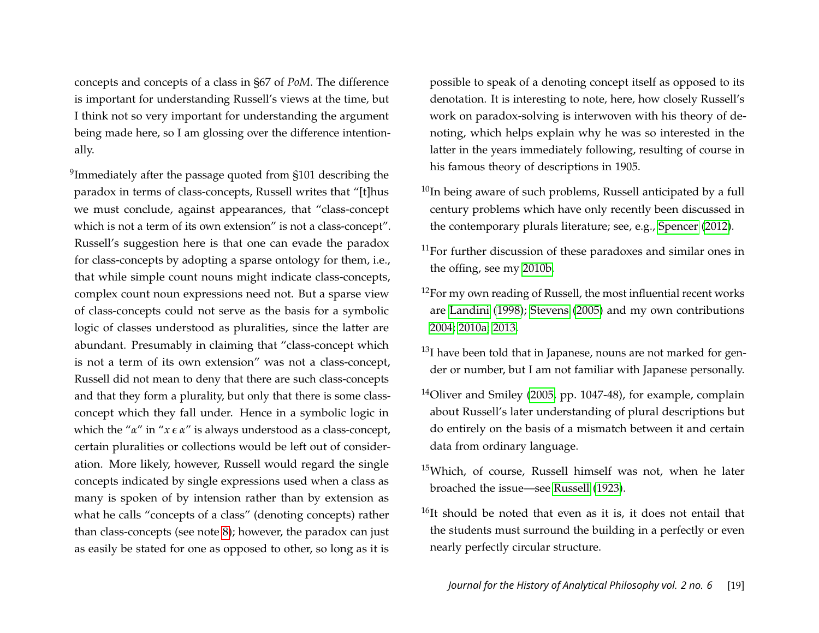concepts and concepts of a class in §67 of *PoM*. The difference is important for understanding Russell's views at the time, but I think not so very important for understanding the argument being made here, so I am glossing over the difference intentionally.

<sup>9</sup>Immediately after the passage quoted from §101 describing the paradox in terms of class-concepts, Russell writes that "[t]hus we must conclude, against appearances, that "class-concept which is not a term of its own extension" is not a class-concept". Russell's suggestion here is that one can evade the paradox for class-concepts by adopting a sparse ontology for them, i.e., that while simple count nouns might indicate class-concepts, complex count noun expressions need not. But a sparse view of class-concepts could not serve as the basis for a symbolic logic of classes understood as pluralities, since the latter are abundant. Presumably in claiming that "class-concept which is not a term of its own extension" was not a class-concept, Russell did not mean to deny that there are such class-concepts and that they form a plurality, but only that there is some classconcept which they fall under. Hence in a symbolic logic in which the "α" in "x  $\epsilon$  α" is always understood as a class-concept, certain pluralities or collections would be left out of consideration. More likely, however, Russell would regard the single concepts indicated by single expressions used when a class as many is spoken of by intension rather than by extension as what he calls "concepts of a class" (denoting concepts) rather than class-concepts (see note [8\)](#page-18-0); however, the paradox can just as easily be stated for one as opposed to other, so long as it is

possible to speak of a denoting concept itself as opposed to its denotation. It is interesting to note, here, how closely Russell's work on paradox-solving is interwoven with his theory of denoting, which helps explain why he was so interested in the latter in the years immediately following, resulting of course in his famous theory of descriptions in 1905.

- $10$ In being aware of such problems, Russell anticipated by a full century problems which have only recently been discussed in the contemporary plurals literature; see, e.g., [Spencer](#page-21-11) [\(2012\)](#page-21-11).
- $11$ For further discussion of these paradoxes and similar ones in the offing, see my [2010b.](#page-20-17)
- <sup>12</sup>For my own reading of Russell, the most influential recent works are [Landini](#page-20-18) [\(1998\)](#page-20-18); [Stevens](#page-21-12) [\(2005\)](#page-21-12) and my own contributions [2004;](#page-20-11) [2010a;](#page-20-8) [2013.](#page-20-9)
- $13$ I have been told that in Japanese, nouns are not marked for gender or number, but I am not familiar with Japanese personally.
- <sup>14</sup>Oliver and Smiley [\(2005,](#page-20-10) pp. 1047-48), for example, complain about Russell's later understanding of plural descriptions but do entirely on the basis of a mismatch between it and certain data from ordinary language.
- <sup>15</sup>Which, of course, Russell himself was not, when he later broached the issue—see [Russell](#page-21-13) [\(1923\)](#page-21-13).
- <sup>16</sup>It should be noted that even as it is, it does not entail that the students must surround the building in a perfectly or even nearly perfectly circular structure.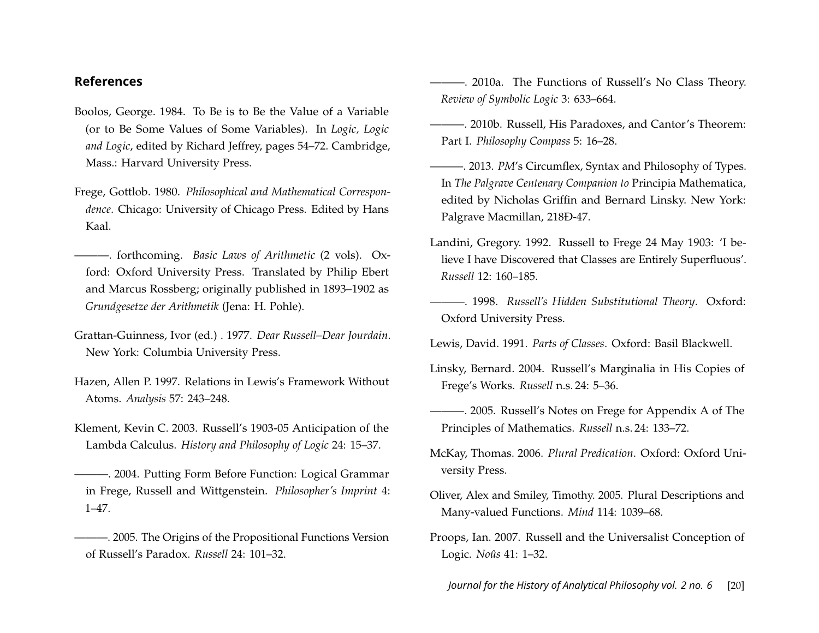## **References**

- <span id="page-20-4"></span>Boolos, George. 1984. To Be is to Be the Value of a Variable (or to Be Some Values of Some Variables). In *Logic, Logic and Logic*, edited by Richard Jeffrey, pages 54–72. Cambridge, Mass.: Harvard University Press.
- <span id="page-20-0"></span>Frege, Gottlob. 1980. *Philosophical and Mathematical Correspondence*. Chicago: University of Chicago Press. Edited by Hans Kaal.
- <span id="page-20-3"></span>———. forthcoming. *Basic Laws of Arithmetic* (2 vols). Oxford: Oxford University Press. Translated by Philip Ebert and Marcus Rossberg; originally published in 1893–1902 as *Grundgesetze der Arithmetik* (Jena: H. Pohle).
- <span id="page-20-2"></span>Grattan-Guinness, Ivor (ed.) . 1977. *Dear Russell–Dear Jourdain*. New York: Columbia University Press.
- <span id="page-20-7"></span>Hazen, Allen P. 1997. Relations in Lewis's Framework Without Atoms. *Analysis* 57: 243–248.
- <span id="page-20-14"></span>Klement, Kevin C. 2003. Russell's 1903-05 Anticipation of the Lambda Calculus. *History and Philosophy of Logic* 24: 15–37.
- <span id="page-20-11"></span>———. 2004. Putting Form Before Function: Logical Grammar in Frege, Russell and Wittgenstein. *Philosopher's Imprint* 4: 1–47.
- <span id="page-20-16"></span>———. 2005. The Origins of the Propositional Functions Version of Russell's Paradox. *Russell* 24: 101–32.
- <span id="page-20-8"></span>———. 2010a. The Functions of Russell's No Class Theory. *Review of Symbolic Logic* 3: 633–664.
- <span id="page-20-17"></span>———. 2010b. Russell, His Paradoxes, and Cantor's Theorem: Part I. *Philosophy Compass* 5: 16–28.
- <span id="page-20-9"></span>———. 2013. *PM*'s Circumflex, Syntax and Philosophy of Types. In *The Palgrave Centenary Companion to* Principia Mathematica, edited by Nicholas Griffin and Bernard Linsky. New York: Palgrave Macmillan, 218Ð-47.
- <span id="page-20-15"></span>Landini, Gregory. 1992. Russell to Frege 24 May 1903: 'I believe I have Discovered that Classes are Entirely Superfluous'. *Russell* 12: 160–185.
- <span id="page-20-18"></span>———. 1998. *Russell's Hidden Substitutional Theory*. Oxford: Oxford University Press.

<span id="page-20-6"></span>Lewis, David. 1991. *Parts of Classes*. Oxford: Basil Blackwell.

- <span id="page-20-12"></span>Linsky, Bernard. 2004. Russell's Marginalia in His Copies of Frege's Works. *Russell* n.s. 24: 5–36.
- <span id="page-20-13"></span>———. 2005. Russell's Notes on Frege for Appendix A of The Principles of Mathematics. *Russell* n.s. 24: 133–72.
- <span id="page-20-5"></span>McKay, Thomas. 2006. *Plural Predication*. Oxford: Oxford University Press.
- <span id="page-20-10"></span>Oliver, Alex and Smiley, Timothy. 2005. Plural Descriptions and Many-valued Functions. *Mind* 114: 1039–68.
- <span id="page-20-1"></span>Proops, Ian. 2007. Russell and the Universalist Conception of Logic. *Noûs* 41: 1–32.

*Journal for the History of Analytical Philosophy vol. 2 no. 6* [20]